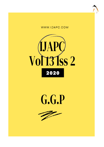





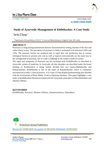

# **Int J Ayu Pharm Chem**

CASE STUDY www.ijapc.com

**e-ISSN 2350-0204**

# **Study of Ayurvedic Management of** *Kitibhkushta***: A Case Study**

Sarika S Dange\*

\* Department of Kayachikitsa, B.S.D.T.'S Ayurved Mahavidyalaya, Wagholi, Pune, MS, India

## **ABSTRACT**

Psoriasis is a long lasting autoimmune disease characterized by itching, dryness of the skin and white silvery scales. The prevalence of psoriasis in India is estimated to be between 0.44% and 2.8%. The psoriatic lesions are produced due to rapid skin cell production due to various etiological factors.At present only oral as well as topical corticosteroids are the main stay in the management of psoriasis, but it is still a challenge to the modern medical science.

The signs and symptoms of Psoriasis can be correlated with *KitibhKushta* as described in Ayurvedic system of medicine. In Ayurveda, all skin disorders are described under the broad heading of *Kushta*which is being further divided into two typesi.e*Mahakushta* and *Kshudrakushta. Kitibhkushta* is one of the types of *Kshudrakushta* which is commonly encountered in today's clinical practice. It is a type of *Vata-Kapha* predominating skin disorder with the involvement of *Rasa, Rakta, Twak* as important *Dushyas.* This paper highlights a case study of *KitibhKushta* (Psoriasis) treated with the Ayurvedic principles of *SthanikShodhan* and *Shaman chikitsa*.

## **KEYWORDS**

.

*KitibhKushta, Psoriasis, Shaman Chikitsa, Jaloukavacharan, Takradhara*



Received 19/08/2020 Accepted 31/08/2020 Published 10/09/2020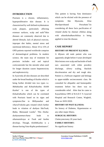

# **INTRODUCTION**

Psoriasis is a chronic, inflammatory, hyperproliferative skin disease. It is characterized by well defined erythematous scaly plaques, particularly affecting extensor surfaces, scalp and nails $9.5$ Kin diseases are commonly observed due to altered lifestyle, lack of physical exercise, improper diet habits, mental stress and nutritional deficiency. About 10 to 15% of OPD patients reported worldwide comprise of dermatological problems. In modern science, the main stay of treatment for psoriasis includes oral and topical corticosteroids but the steroids when used for longer duration causes hepatotoxicity and nephrotoxicity.

In Ayurveda all skin diseases are described under the broad heading of *Kushta* which is being further divided into two types i.e. *Mahakushta* and *Kshudrakushta*. *Kitibh Kushta<sup>1</sup>* is one of the types of *KshudraKushta* which can be correlated with Psoriasis based on its signs and symptoms.Due to *Mithyaaahar* and *viharaTridosha* gets vitiated which further leads to vitiation of *dushyas* like*Twak, Rakta, Mansa*and *Lasika<sup>2</sup> .* This *Doshadushyasammurchana* leads to *sthansanshraya* at *Twak* and *kushta* develops. Though, *KitibhKushta* is a disease having *Vata-Kapha* predominance<sup>1</sup>. This patient is having *Vata* dominance which can be elicited with the presence of symptoms like *Shyawata, Kina*   $kharSparsha$ and *Parushata*<sup> $1$ </sup> So. considering all these facts pacification of vitiated *dosha* by *shaman chikitsa* along with *sthanikshodhanchikitsa* is being applied to treat the disease.

# **CASE REPORT**

### **HISTORY OF PRESENT ILLNESS:**

A 40years old male patient who was apparently alright before 4 years developed Skin lesions over scalp and backside of both ears associated with white powdery discharge, silvery scaling, blackish discolouration and dry and rough skin. Patient is a Software engineer and belongs to upper-middle socioeconomic class. He consulted for allopathic and homeopathic treatment before but there was no considerable relief. After that he came to Kayachikitsa OPD of B.S.D.T.'S Ayurved Hospital and Research Centre, Wagholi, Pune on 18/01/2020.

#### **HISTORY OF PAST ILLNESS:**

No history of Diabetes, Hypertension or any other major illness.

#### **SURGICAL HISTORY:**

Cholecystectomy 20 years back

#### **FAMILY HISTORY:**

No significant history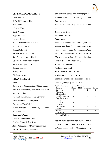

#### **GENERAL EXAMINATION:**

Pulse: 80/min B.P.:130/70 mm of Hg  $RR: 20/min$ Weight: 73kg Built: Normal Appetite: Less. Tongue: Coated Bowel: Irregular Bowel Habit Micturition : Normal Sleep: Disturbed

### **SKIN EXAMINATION:**

Site: Scalp and back of both ears Colour: Blackish discolouration Surface: Rough and Dry Scaling: Present

Itching: Absent

Discharge: Absent

#### *NIDAN PANCHAK:*

#### *Hetu:*

*AaharajHetu*:*Vishamashan*,*Abhishyandiaa har*, *Viruddhaaahar*, excessive intake of peanuts, curd etc.

*ViharajHetu*:*RatrauJagaran*, *Avyayam*

*ManasikHetu*:*Chintadhikya*++.

*Purvarupa:TwakRukshta*

*Rupa:Shyawata, Parushta, Kina* 

*Kharasparsha*

#### *SampraptiGhatak:*

*Dosha: VatapradhanKapha Dushya: Twak, Rakta, Rasa Agni: Jathragni and Dhatwagnimandya Strotas: Rasawaha, Raktwaha*

*StrotoDushti: Sanga and Vimargagaman Udbhavsthana: Aamashay and Pakwashaya Adhishtan: Twak*(Scalp and back of both ears*) Rogamarga: Bahya Swabhav: Chirkari Samprapti***:**

Due to *NIdanasevana*, *Vata-kapha* gets vitiated and later they vitiate *twak, rasa, rakta*. This *dosh-dushyasammurchana* leads to *twakdushti* in the form of *Shyawata, parushta, kharata*and*rukshta.*  Thisis*KitibhKushta*(Psoriasis).

#### **INVESTIGATIONS:**

Within normal limit

**DIAGNOSIS: -***KitibhKushta*

#### **ASSESSMENT CRITERIA:**

Signs and Symptoms were assessed on the

basis of gradings given in Table 1

**Table 1** Assessment criteria and Gradings

| <b>Criteria</b>         | Absent            | Mild | Moderate                    | <b>Severe</b> |
|-------------------------|-------------------|------|-----------------------------|---------------|
| Shyawata                |                   |      | 2                           | 3             |
| (Blackish)              |                   |      |                             |               |
| Discoloration)          |                   |      |                             |               |
| KinakharaSparsha        | $\mathbf{0}$      |      | 2                           | 3             |
| (Roughness with         |                   |      |                             |               |
| Scaling)                |                   |      |                             |               |
| Parushata               | $\mathbf{\Omega}$ |      | $\mathcal{D}_{\mathcal{L}}$ | 3             |
| (Dryness)               |                   |      |                             |               |
| Ugra Kandu <sup>3</sup> | 0                 |      | 2                           | 3             |
| (Itching)               |                   |      |                             |               |
| Strava <sup>3</sup>     | 0                 |      | 2                           | 3             |
| (Discharge)             |                   |      |                             |               |
| mnn<br><b>FRA #1</b>    |                   |      |                             |               |

#### **TREATMENT:**

 $\mathcal{L}_\mathcal{L}$  , and the contribution of the contribution of the contribution of the contribution of the contribution of the contribution of the contribution of the contribution of the contribution of the contribution of

Patient was administered with *Shaman Chikitsa* and *SthanikChikitsa* like *Jaloukavacharan*and *Takradhara* at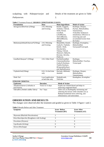

scalpalong with *Nidanparivarjan* and *Pathyasevan*.

Details of the treatment are given in Table

2.

| <b>Formulation</b>                            | <b>Dose</b>       | <b>Main Ingredients</b>                                             | <b>Mode of Action</b>                       |  |
|-----------------------------------------------|-------------------|---------------------------------------------------------------------|---------------------------------------------|--|
| AarogyavardhiniVati (250mg)                   | 2-0-2 Morning     | Kutaki, Guggulu,                                                    | Kushtagn, Deepan,                           |  |
|                                               | and Evening       | Triphala, Chitrak,                                                  | Pachan, Malashodhan,                        |  |
|                                               |                   | Nimb, Parad,                                                        | Vatanuloman.                                |  |
|                                               |                   | Gandhak.                                                            | Tridoshhar (Enhances                        |  |
|                                               |                   | LohaBhasma,                                                         | metabolism, Effective in                    |  |
|                                               |                   | TamraBhasma,                                                        | removing aam and                            |  |
|                                               |                   | AbhrakBhasma.                                                       | accumulated toxins from                     |  |
|                                               |                   | Shilajit                                                            | the body)                                   |  |
| MahamanjishthadiGhanvati <sup>4</sup> (250mg) | 2-0-2 Morning     | Manjishtha, Kutaki,                                                 | Kushtagn, Krumighna,                        |  |
|                                               | and Evening       | Guduchi, Triphala,                                                  | Raktashodhak,                               |  |
|                                               |                   | Kahdir, Nimb,                                                       | VarnyaandVranropak.                         |  |
|                                               |                   | Daruharidra,                                                        |                                             |  |
|                                               |                   | Vidang, Chitrak,                                                    |                                             |  |
|                                               |                   | Shatavari, Bakuchi,                                                 |                                             |  |
|                                               |                   | Karanja, Ativisha,                                                  |                                             |  |
|                                               |                   | Patha etc.                                                          |                                             |  |
| Gandhak Rasayan <sup>5</sup> (250mg)          | 2-0-2 After Food  | PurifiedGandhak,                                                    | Kushtagn,                                   |  |
|                                               |                   | ChaturjaatKashay,                                                   | Raktashodhak, Twachya,                      |  |
|                                               |                   | Guduchi Kashaya,                                                    | Vranaropak                                  |  |
|                                               |                   | Triphla Kashaya,                                                    |                                             |  |
|                                               |                   | BringrajaKashaya                                                    |                                             |  |
|                                               |                   | and AadrakSwaras                                                    |                                             |  |
| TriphalaVati(250mg)                           | 0-0-2 At bed time | Haritaki, Bibhitaki,                                                | Kushtagn, Deepan,                           |  |
|                                               | only              | Aamlaki                                                             | Malashodhan,                                |  |
|                                               |                   |                                                                     | Vatanulomana                                |  |
| Nimb Tail                                     | Local application | NimbaKwath,<br>TilaTaila                                            | Kandughna, Krumighna                        |  |
|                                               | at bed time only  |                                                                     |                                             |  |
| STHANIK CHIKITSA:                             | <b>Duration</b>   | <b>Mode of Action</b>                                               |                                             |  |
| <b>Upakrama</b>                               |                   |                                                                     |                                             |  |
| Jaloukavacharan (1Jalouka at                  | Twice in 15 days  | Expels out vitiated blood and helps in                              |                                             |  |
| each lesion)                                  |                   | removing congested blood<br>Takra acts as Kushtagnby moistening and |                                             |  |
| Takradhra (Amlaki siddha Takra)               | For 7 days        |                                                                     |                                             |  |
|                                               |                   |                                                                     | softening the lesions while Amalaki acts as |  |
|                                               |                   |                                                                     | Raktaprasadakand stress relieving, anti-    |  |
|                                               |                   | inflammatory and antioxidant.                                       |                                             |  |

### **Table 2** Treatment Protocol: *SHAMAN CHIKITSA***FOR 15 DAYS:**

## **OBSERVATION AND RESULTS**

The changes were observed after the treatment and graded as given in Table 3 Figure 1 and 2.

| <b>Symptom</b>                             | <b>Score Before</b><br><b>Treatment</b> (BT) | <b>Score After</b><br><b>Treatment</b> (AT) |
|--------------------------------------------|----------------------------------------------|---------------------------------------------|
| <i>Shyawata</i> (Blackish Discoloration)   |                                              |                                             |
| Kina kharaSparsha (Roughness with Scaling) |                                              |                                             |
| <i>Parushata</i> (Dryness)                 | 3                                            |                                             |
| <i>Ugra</i> Kandu (Itching)                |                                              |                                             |
| <i>Strava</i> (Discharge)                  |                                              |                                             |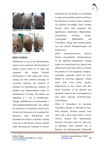



**Figure 1** Before Treatment



**Figure 2** After Treatment

## **DISCUSSION**

*Kitibhkushta* is one of the *Kshudrakushta* which can be correlated with Psoriasis6 of modern science based on its signs and symptoms like itching, blackish discoloration of skin along with silvery scaling and white powdery discharge. In Ayurvedic literature, the mainstay of treatment for *Kushta*disease comprises of *Shodhan* and *Shamanchikitsa* based on predominance of *Dosha*. The patient was diagnosed as a case of *KitibhKushta*. Though, *KitibhKushta* is predominently a *Vata-KaphapradoshajVyadhi*, this patient has dominance of *VataDosha* which can be elicited with the presence of symptoms like *Shyawata, Kina kharSparsha and Parushata* but absence of *Kandu*i.e itching at the site of skin lesions. *Acharya Charak* while describing the treatment of *Kushta*

mentioned that all *Kushtas* are *Tridoshaja* in nature and should be treated according to the dominance of *dosha*. Hence treatment was planned accordingly which includes *dravyas* which have properties like *AgniDeepan, AmaPachan, Malashodhan, Vatanuloman, Twachya, Varnya, Vranaropaka, Raktshodhak* and *Tridoshhara.* Along with treatment patient was also advised *Nidanparivarjana* and *Pathyasevan.*

Effect of*Jaloukavacharan*: *Acharya Sushrut* recommended *Jaloukavacharan* for the superficial *Raktadushti<sup>7</sup>* . *Jalouka* expels out vitiated blood very sharply from affected part of the body. Saliva of *Jalouka* has property of anti-coagulants, analgesic, anaesthetic properties which are much helpful in removing congested, vitiated blood from local lesion quickly. Regeneration of new tissues with pure blood circulation of the diseased part ultimately results in the re-arrangement of skin layers reducing *Twak-Vaivarnya, Twak-Jadyata.*

Effect of *Takradhara*: In *Ayurveda, Takradhara* therapy is indicated in *Vata-Pitta* disorders. Previous research work shows that it gives good results in Stress induced diseases like Hypertension, Psoriasis, Ulcerative colitis etc. *Takra* acts as *Kushtagn* while *Amalaki<sup>8</sup>* acts as *Rasayan* and *Raktaprasadak.* Buttermilk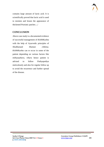

contains large amount of lactic acid. It is scientifically proved that lactic acid is used to moisten and lessen the appearance of thickened Psoriatic patches. ;./

# **CONCLUSION**

Above case study is a documented evidence of successful management of *KitibhKushta* with the help of Ayurvedic principles of *Shodhan*and *Shaman chikitsa. KitibhKushta* can re occur in some of the patient depending on various factors like *mithyaaahara, vihara* hence patient is advised to follow *Pathyapathya*  meticulously and also for regular follow up to avoid the recurrence and further spread of the disease.